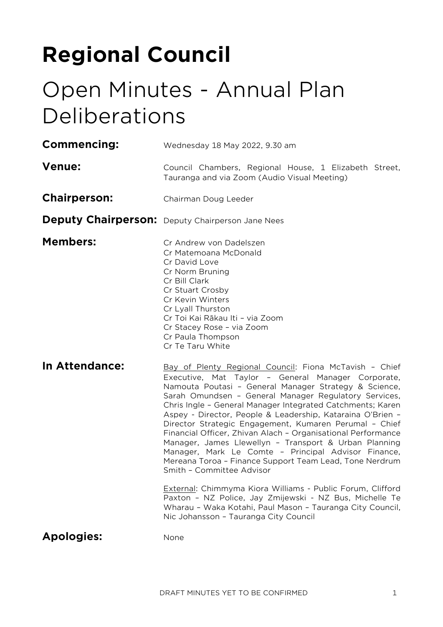# **Regional Council**

# Open Minutes - Annual Plan Deliberations

| Commencing:         | Wednesday 18 May 2022, 9.30 am                                                                                                                                                                                                                                                                                                                                                                                                                                                                                                                                                                                                                                                               |
|---------------------|----------------------------------------------------------------------------------------------------------------------------------------------------------------------------------------------------------------------------------------------------------------------------------------------------------------------------------------------------------------------------------------------------------------------------------------------------------------------------------------------------------------------------------------------------------------------------------------------------------------------------------------------------------------------------------------------|
| <b>Venue:</b>       | Council Chambers, Regional House, 1 Elizabeth Street,<br>Tauranga and via Zoom (Audio Visual Meeting)                                                                                                                                                                                                                                                                                                                                                                                                                                                                                                                                                                                        |
| <b>Chairperson:</b> | Chairman Doug Leeder                                                                                                                                                                                                                                                                                                                                                                                                                                                                                                                                                                                                                                                                         |
|                     | <b>Deputy Chairperson:</b> Deputy Chairperson Jane Nees                                                                                                                                                                                                                                                                                                                                                                                                                                                                                                                                                                                                                                      |
| <b>Members:</b>     | Cr Andrew von Dadelszen<br>Cr Matemoana McDonald<br>Cr David Love<br>Cr Norm Bruning<br>Cr Bill Clark<br>Cr Stuart Crosby<br>Cr Kevin Winters<br>Cr Lyall Thurston<br>Cr Toi Kai Rākau Iti - via Zoom<br>Cr Stacey Rose - via Zoom<br>Cr Paula Thompson<br>Cr Te Taru White                                                                                                                                                                                                                                                                                                                                                                                                                  |
| In Attendance:      | Bay of Plenty Regional Council: Fiona McTavish - Chief<br>Executive, Mat Taylor - General Manager Corporate,<br>Namouta Poutasi - General Manager Strategy & Science,<br>Sarah Omundsen - General Manager Regulatory Services,<br>Chris Ingle - General Manager Integrated Catchments; Karen<br>Aspey - Director, People & Leadership, Kataraina O'Brien -<br>Director Strategic Engagement, Kumaren Perumal - Chief<br>Financial Officer, Zhivan Alach - Organisational Performance<br>Manager, James Llewellyn - Transport & Urban Planning<br>Manager, Mark Le Comte - Principal Advisor Finance,<br>Mereana Toroa - Finance Support Team Lead, Tone Nerdrum<br>Smith - Committee Advisor |
|                     | External: Chimmyma Kiora Williams - Public Forum, Clifford<br>Paxton - NZ Police, Jay Zmijewski - NZ Bus, Michelle Te<br>Wharau - Waka Kotahi, Paul Mason - Tauranga City Council,<br>Nic Johansson - Tauranga City Council                                                                                                                                                                                                                                                                                                                                                                                                                                                                  |
| <b>Apologies:</b>   | None                                                                                                                                                                                                                                                                                                                                                                                                                                                                                                                                                                                                                                                                                         |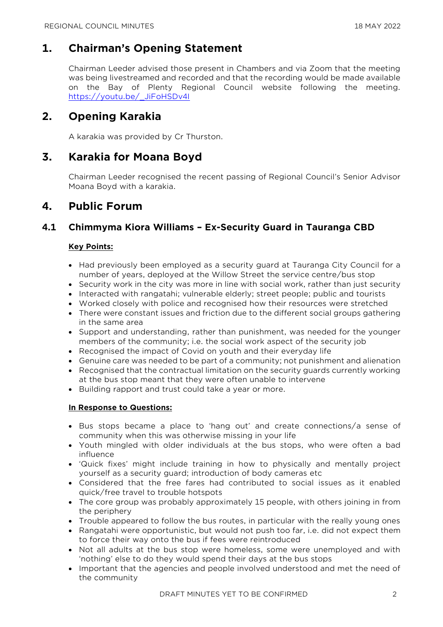# **1. Chairman's Opening Statement**

Chairman Leeder advised those present in Chambers and via Zoom that the meeting was being livestreamed and recorded and that the recording would be made available on the Bay of Plenty Regional Council website following the meeting. [https://youtu.be/\\_JiFoHSDv4I](https://youtu.be/_JiFoHSDv4I) 

# **2. Opening Karakia**

A karakia was provided by Cr Thurston.

# **3. Karakia for Moana Boyd**

Chairman Leeder recognised the recent passing of Regional Council's Senior Advisor Moana Boyd with a karakia.

# **4. Public Forum**

# **4.1 Chimmyma Kiora Williams – Ex-Security Guard in Tauranga CBD**

#### **Key Points:**

- Had previously been employed as a security guard at Tauranga City Council for a number of years, deployed at the Willow Street the service centre/bus stop
- Security work in the city was more in line with social work, rather than just security
- Interacted with rangatahi; vulnerable elderly; street people; public and tourists
- Worked closely with police and recognised how their resources were stretched
- There were constant issues and friction due to the different social groups gathering in the same area
- Support and understanding, rather than punishment, was needed for the younger members of the community; i.e. the social work aspect of the security job
- Recognised the impact of Covid on youth and their everyday life
- Genuine care was needed to be part of a community; not punishment and alienation
- Recognised that the contractual limitation on the security guards currently working at the bus stop meant that they were often unable to intervene
- Building rapport and trust could take a year or more.

#### **In Response to Questions:**

- Bus stops became a place to 'hang out' and create connections/a sense of community when this was otherwise missing in your life
- Youth mingled with older individuals at the bus stops, who were often a bad influence
- 'Quick fixes' might include training in how to physically and mentally project yourself as a security guard; introduction of body cameras etc
- Considered that the free fares had contributed to social issues as it enabled quick/free travel to trouble hotspots
- The core group was probably approximately 15 people, with others joining in from the periphery
- Trouble appeared to follow the bus routes, in particular with the really young ones
- Rangatahi were opportunistic, but would not push too far, i.e. did not expect them to force their way onto the bus if fees were reintroduced
- Not all adults at the bus stop were homeless, some were unemployed and with 'nothing' else to do they would spend their days at the bus stops
- Important that the agencies and people involved understood and met the need of the community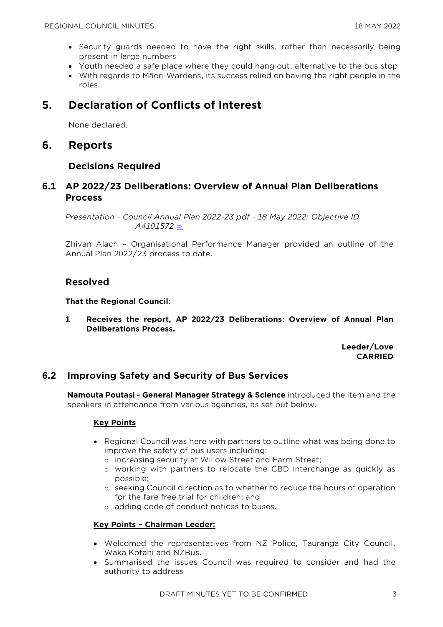- Security guards needed to have the right skills, rather than necessarily being present in large numbers
- Youth needed a safe place where they could hang out, alternative to the bus stop
- With regards to Māori Wardens, its success relied on having the right people in the roles.

# **5. Declaration of Conflicts of Interest**

None declared.

## **6. Reports**

#### **Decisions Required**

## **6.1 AP 2022/23 Deliberations: Overview of Annual Plan Deliberations Process**

*Presentation - Council Annual Plan 2022-23 pdf - 18 May 2022: Objective ID A4101572* [⇨](../../../RedirectToInvalidFileName.aspx?FileName=RC_20220518_MAT_3519.PDF)

Zhivan Alach – Organisational Performance Manager provided an outline of the Annual Plan 2022/23 process to date.

## **Resolved**

**That the Regional Council:**

**1 Receives the report, AP 2022/23 Deliberations: Overview of Annual Plan Deliberations Process.**

> **Leeder/Love CARRIED**

# **6.2 Improving Safety and Security of Bus Services**

**Namouta Poutasi - General Manager Strategy & Science** introduced the item and the speakers in attendance from various agencies, as set out below.

#### **Key Points**

- Regional Council was here with partners to outline what was being done to improve the safety of bus users including:
	- o increasing security at Willow Street and Farm Street;
	- o working with partners to relocate the CBD interchange as quickly as possible;
	- o seeking Council direction as to whether to reduce the hours of operation for the fare free trial for children; and
	- o adding code of conduct notices to buses.

#### **Key Points – Chairman Leeder:**

- Welcomed the representatives from NZ Police, Tauranga City Council, Waka Kotahi and NZBus.
- Summarised the issues Council was required to consider and had the authority to address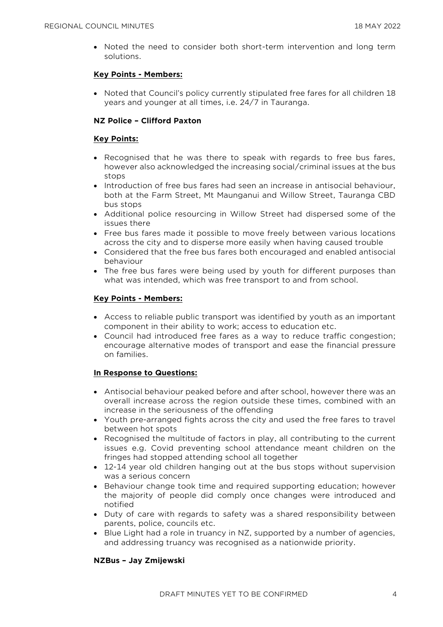• Noted the need to consider both short-term intervention and long term solutions.

#### **Key Points - Members:**

• Noted that Council's policy currently stipulated free fares for all children 18 years and younger at all times, i.e. 24/7 in Tauranga.

#### **NZ Police – Clifford Paxton**

#### **Key Points:**

- Recognised that he was there to speak with regards to free bus fares, however also acknowledged the increasing social/criminal issues at the bus stops
- Introduction of free bus fares had seen an increase in antisocial behaviour, both at the Farm Street, Mt Maunganui and Willow Street, Tauranga CBD bus stops
- Additional police resourcing in Willow Street had dispersed some of the issues there
- Free bus fares made it possible to move freely between various locations across the city and to disperse more easily when having caused trouble
- Considered that the free bus fares both encouraged and enabled antisocial behaviour
- The free bus fares were being used by youth for different purposes than what was intended, which was free transport to and from school.

#### **Key Points - Members:**

- Access to reliable public transport was identified by youth as an important component in their ability to work; access to education etc.
- Council had introduced free fares as a way to reduce traffic congestion; encourage alternative modes of transport and ease the financial pressure on families.

#### **In Response to Questions:**

- Antisocial behaviour peaked before and after school, however there was an overall increase across the region outside these times, combined with an increase in the seriousness of the offending
- Youth pre-arranged fights across the city and used the free fares to travel between hot spots
- Recognised the multitude of factors in play, all contributing to the current issues e.g. Covid preventing school attendance meant children on the fringes had stopped attending school all together
- 12-14 year old children hanging out at the bus stops without supervision was a serious concern
- Behaviour change took time and required supporting education; however the majority of people did comply once changes were introduced and notified
- Duty of care with regards to safety was a shared responsibility between parents, police, councils etc.
- Blue Light had a role in truancy in NZ, supported by a number of agencies, and addressing truancy was recognised as a nationwide priority.

#### **NZBus – Jay Zmijewski**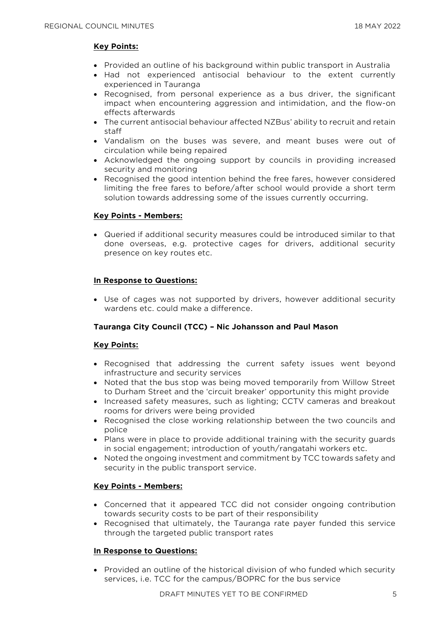#### **Key Points:**

- Provided an outline of his background within public transport in Australia
- Had not experienced antisocial behaviour to the extent currently experienced in Tauranga
- Recognised, from personal experience as a bus driver, the significant impact when encountering aggression and intimidation, and the flow-on effects afterwards
- The current antisocial behaviour affected NZBus' ability to recruit and retain staff
- Vandalism on the buses was severe, and meant buses were out of circulation while being repaired
- Acknowledged the ongoing support by councils in providing increased security and monitoring
- Recognised the good intention behind the free fares, however considered limiting the free fares to before/after school would provide a short term solution towards addressing some of the issues currently occurring.

#### **Key Points - Members:**

• Queried if additional security measures could be introduced similar to that done overseas, e.g. protective cages for drivers, additional security presence on key routes etc.

#### **In Response to Questions:**

• Use of cages was not supported by drivers, however additional security wardens etc. could make a difference.

#### **Tauranga City Council (TCC) – Nic Johansson and Paul Mason**

#### **Key Points:**

- Recognised that addressing the current safety issues went beyond infrastructure and security services
- Noted that the bus stop was being moved temporarily from Willow Street to Durham Street and the 'circuit breaker' opportunity this might provide
- Increased safety measures, such as lighting; CCTV cameras and breakout rooms for drivers were being provided
- Recognised the close working relationship between the two councils and police
- Plans were in place to provide additional training with the security guards in social engagement; introduction of youth/rangatahi workers etc.
- Noted the ongoing investment and commitment by TCC towards safety and security in the public transport service.

#### **Key Points - Members:**

- Concerned that it appeared TCC did not consider ongoing contribution towards security costs to be part of their responsibility
- Recognised that ultimately, the Tauranga rate payer funded this service through the targeted public transport rates

#### **In Response to Questions:**

• Provided an outline of the historical division of who funded which security services, i.e. TCC for the campus/BOPRC for the bus service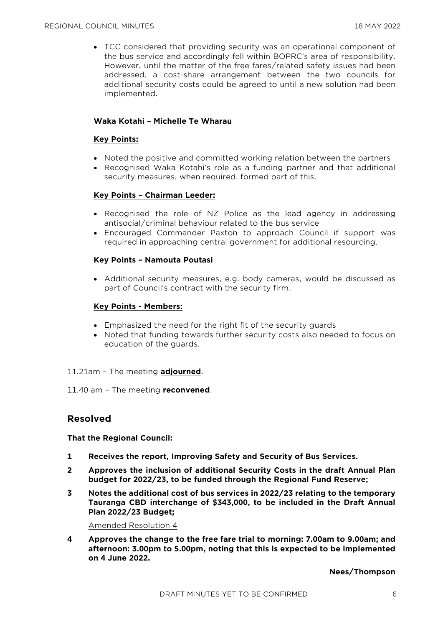• TCC considered that providing security was an operational component of the bus service and accordingly fell within BOPRC's area of responsibility. However, until the matter of the free fares/related safety issues had been addressed, a cost-share arrangement between the two councils for additional security costs could be agreed to until a new solution had been implemented.

#### **Waka Kotahi – Michelle Te Wharau**

#### **Key Points:**

- Noted the positive and committed working relation between the partners
- Recognised Waka Kotahi's role as a funding partner and that additional security measures, when required, formed part of this.

#### **Key Points – Chairman Leeder:**

- Recognised the role of NZ Police as the lead agency in addressing antisocial/criminal behaviour related to the bus service
- Encouraged Commander Paxton to approach Council if support was required in approaching central government for additional resourcing.

#### **Key Points – Namouta Poutasi**

• Additional security measures, e.g. body cameras, would be discussed as part of Council's contract with the security firm.

#### **Key Points - Members:**

- Emphasized the need for the right fit of the security guards
- Noted that funding towards further security costs also needed to focus on education of the guards.

#### 11.21am – The meeting **adjourned**.

11.40 am – The meeting **reconvened**.

## **Resolved**

**That the Regional Council:**

- **1 Receives the report, Improving Safety and Security of Bus Services.**
- **2 Approves the inclusion of additional Security Costs in the draft Annual Plan budget for 2022/23, to be funded through the Regional Fund Reserve;**
- **3 Notes the additional cost of bus services in 2022/23 relating to the temporary Tauranga CBD interchange of \$343,000, to be included in the Draft Annual Plan 2022/23 Budget;**

Amended Resolution 4

**4 Approves the change to the free fare trial to morning: 7.00am to 9.00am; and afternoon: 3.00pm to 5.00pm, noting that this is expected to be implemented on 4 June 2022.** 

**Nees/Thompson**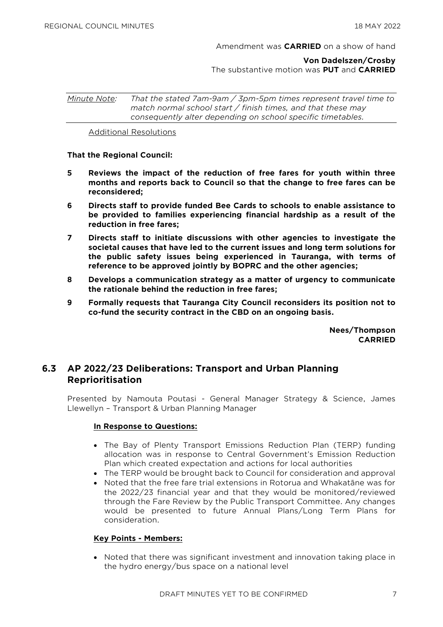#### Amendment was **CARRIED** on a show of hand

**Von Dadelszen/Crosby** The substantive motion was **PUT** and **CARRIED** 

*Minute Note: That the stated 7am-9am / 3pm-5pm times represent travel time to match normal school start / finish times, and that these may consequently alter depending on school specific timetables.*

Additional Resolutions

#### **That the Regional Council:**

- **5 Reviews the impact of the reduction of free fares for youth within three months and reports back to Council so that the change to free fares can be reconsidered;**
- **6 Directs staff to provide funded Bee Cards to schools to enable assistance to be provided to families experiencing financial hardship as a result of the reduction in free fares;**
- **7 Directs staff to initiate discussions with other agencies to investigate the societal causes that have led to the current issues and long term solutions for the public safety issues being experienced in Tauranga, with terms of reference to be approved jointly by BOPRC and the other agencies;**
- **8 Develops a communication strategy as a matter of urgency to communicate the rationale behind the reduction in free fares;**
- **9 Formally requests that Tauranga City Council reconsiders its position not to co-fund the security contract in the CBD on an ongoing basis.**

**Nees/Thompson CARRIED**

## **6.3 AP 2022/23 Deliberations: Transport and Urban Planning Reprioritisation**

Presented by Namouta Poutasi - General Manager Strategy & Science, James Llewellyn – Transport & Urban Planning Manager

#### **In Response to Questions:**

- The Bay of Plenty Transport Emissions Reduction Plan (TERP) funding allocation was in response to Central Government's Emission Reduction Plan which created expectation and actions for local authorities
- The TERP would be brought back to Council for consideration and approval
- Noted that the free fare trial extensions in Rotorua and Whakatāne was for the 2022/23 financial year and that they would be monitored/reviewed through the Fare Review by the Public Transport Committee. Any changes would be presented to future Annual Plans/Long Term Plans for consideration.

#### **Key Points - Members:**

• Noted that there was significant investment and innovation taking place in the hydro energy/bus space on a national level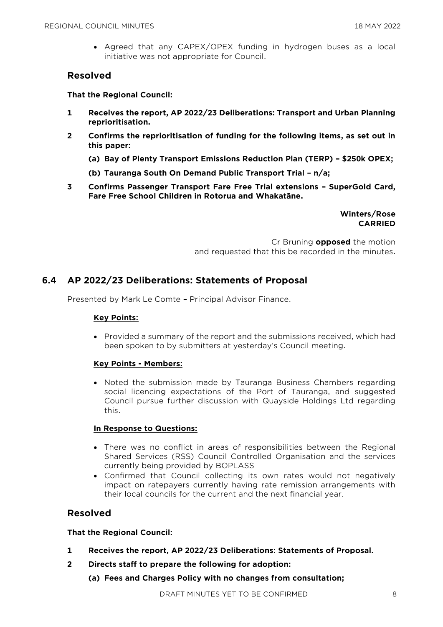• Agreed that any CAPEX/OPEX funding in hydrogen buses as a local initiative was not appropriate for Council.

### **Resolved**

**That the Regional Council:**

- **1 Receives the report, AP 2022/23 Deliberations: Transport and Urban Planning reprioritisation.**
- **2 Confirms the reprioritisation of funding for the following items, as set out in this paper:**
	- **(a) Bay of Plenty Transport Emissions Reduction Plan (TERP) – \$250k OPEX;**
	- **(b) Tauranga South On Demand Public Transport Trial – n/a;**
- **3 Confirms Passenger Transport Fare Free Trial extensions – SuperGold Card, Fare Free School Children in Rotorua and Whakatāne.**

**Winters/Rose CARRIED**

Cr Bruning **opposed** the motion and requested that this be recorded in the minutes.

# **6.4 AP 2022/23 Deliberations: Statements of Proposal**

Presented by Mark Le Comte – Principal Advisor Finance.

#### **Key Points:**

• Provided a summary of the report and the submissions received, which had been spoken to by submitters at yesterday's Council meeting.

#### **Key Points - Members:**

• Noted the submission made by Tauranga Business Chambers regarding social licencing expectations of the Port of Tauranga, and suggested Council pursue further discussion with Quayside Holdings Ltd regarding this.

#### **In Response to Questions:**

- There was no conflict in areas of responsibilities between the Regional Shared Services (RSS) Council Controlled Organisation and the services currently being provided by BOPLASS
- Confirmed that Council collecting its own rates would not negatively impact on ratepayers currently having rate remission arrangements with their local councils for the current and the next financial year.

## **Resolved**

**That the Regional Council:**

- **1 Receives the report, AP 2022/23 Deliberations: Statements of Proposal.**
- **2 Directs staff to prepare the following for adoption:**
	- **(a) Fees and Charges Policy with no changes from consultation;**